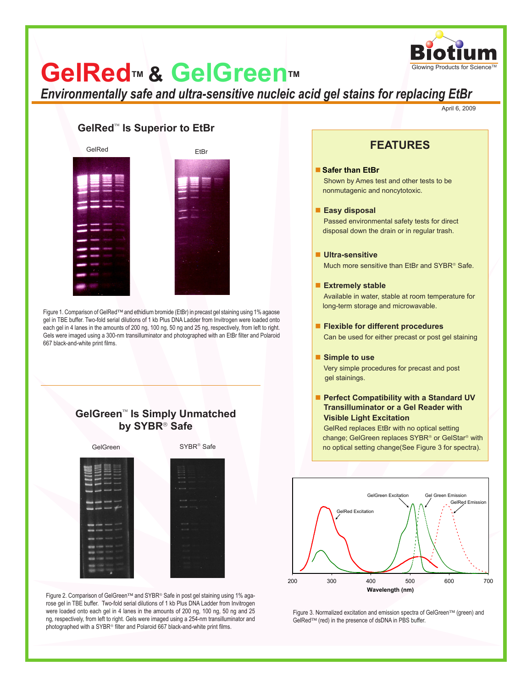

# **GelRed™ & GelGreen™**

*Environmentally safe and ultra-sensitive nucleic acid gel stains for replacing EtBr*

April 6, 2009

### GelRed<sup>™</sup> Is Superior to EtBr



Figure 1. Comparison of GelRed<sup>TM</sup> and ethidium bromide (EtBr) in precast gel staining using 1% agaose gel in TBE buffer. Two-fold serial dilutions of 1 kb Plus DNA Ladder from Invitrogen were loaded onto each gel in 4 lanes in the amounts of 200 ng, 100 ng, 50 ng and 25 ng, respectively, from left to right. Gels were imaged using a 300-nm transilluminator and photographed with an EtBr filter and Polaroid 667 black-and-white print films.

## GelGreen<sup>™</sup> Is Simply Unmatched **by SYBR Safe**



Figure 2. Comparison of GelGreen™ and SYBR® Safe in post gel staining using 1% agarose gel in TBE buffer. Two-fold serial dilutions of 1 kb Plus DNA Ladder from Invitrogen were loaded onto each gel in 4 lanes in the amounts of 200 ng, 100 ng, 50 ng and 25 ng, respectively, from left to right. Gels were imaged using a 254-nm transilluminator and photographed with a SYBR® filter and Polaroid 667 black-and-white print films.

## **FEATURES**

#### **Safer than EtBr**

Shown by Ames test and other tests to be nonmutagenic and noncytotoxic.

#### **Easy disposal**

Passed environmental safety tests for direct disposal down the drain or in regular trash.

#### **Ultra-sensitive**

Much more sensitive than EtBr and SYBR<sup>®</sup> Safe.

#### **Extremely stable**

Available in water, stable at room temperature for long-term storage and microwavable.

**Flexible for different procedures**

Can be used for either precast or post gel staining

#### ■ Simple to use

Very simple procedures for precast and post gel stainings.

#### ■ Perfect Compatibility with a Standard UV  **Transilluminator or a Gel Reader with Visible Light Excitation**

GelRed replaces EtBr with no optical setting change; GelGreen replaces SYBR® or GelStar® with no optical setting change(See Figure 3 for spectra).



Figure 3. Normalized excitation and emission spectra of GelGreen™ (green) and GelRed<sup>™</sup> (red) in the presence of dsDNA in PBS buffer.